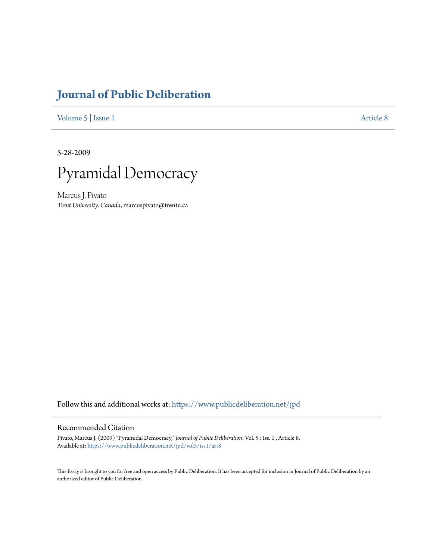# **[Journal of Public Deliberation](https://www.publicdeliberation.net/jpd?utm_source=www.publicdeliberation.net%2Fjpd%2Fvol5%2Fiss1%2Fart8&utm_medium=PDF&utm_campaign=PDFCoverPages)**

[Volume 5](https://www.publicdeliberation.net/jpd/vol5?utm_source=www.publicdeliberation.net%2Fjpd%2Fvol5%2Fiss1%2Fart8&utm_medium=PDF&utm_campaign=PDFCoverPages) | [Issue 1](https://www.publicdeliberation.net/jpd/vol5/iss1?utm_source=www.publicdeliberation.net%2Fjpd%2Fvol5%2Fiss1%2Fart8&utm_medium=PDF&utm_campaign=PDFCoverPages) [Article 8](https://www.publicdeliberation.net/jpd/vol5/iss1/art8?utm_source=www.publicdeliberation.net%2Fjpd%2Fvol5%2Fiss1%2Fart8&utm_medium=PDF&utm_campaign=PDFCoverPages)

5-28-2009



Marcus J. Pivato *Trent University, Canada*, marcuspivato@trentu.ca

Follow this and additional works at: [https://www.publicdeliberation.net/jpd](https://www.publicdeliberation.net/jpd?utm_source=www.publicdeliberation.net%2Fjpd%2Fvol5%2Fiss1%2Fart8&utm_medium=PDF&utm_campaign=PDFCoverPages)

#### Recommended Citation

Pivato, Marcus J. (2009) "Pyramidal Democracy," *Journal of Public Deliberation*: Vol. 5 : Iss. 1 , Article 8. Available at: [https://www.publicdeliberation.net/jpd/vol5/iss1/art8](https://www.publicdeliberation.net/jpd/vol5/iss1/art8?utm_source=www.publicdeliberation.net%2Fjpd%2Fvol5%2Fiss1%2Fart8&utm_medium=PDF&utm_campaign=PDFCoverPages)

This Essay is brought to you for free and open access by Public Deliberation. It has been accepted for inclusion in Journal of Public Deliberation by an authorized editor of Public Deliberation.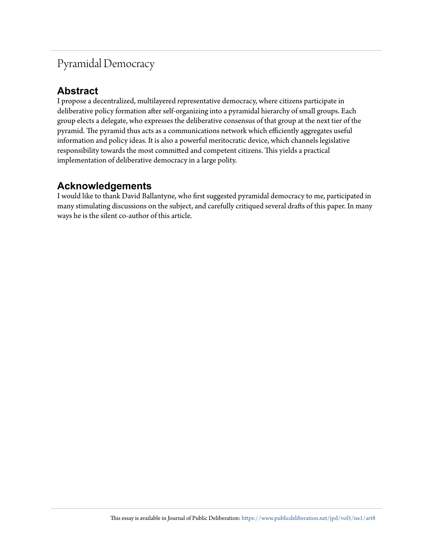# Pyramidal Democracy

## **Abstract**

I propose a decentralized, multilayered representative democracy, where citizens participate in deliberative policy formation after self-organizing into a pyramidal hierarchy of small groups. Each group elects a delegate, who expresses the deliberative consensus of that group at the next tier of the pyramid. The pyramid thus acts as a communications network which efficiently aggregates useful information and policy ideas. It is also a powerful meritocratic device, which channels legislative responsibility towards the most committed and competent citizens. This yields a practical implementation of deliberative democracy in a large polity.

## **Acknowledgements**

I would like to thank David Ballantyne, who first suggested pyramidal democracy to me, participated in many stimulating discussions on the subject, and carefully critiqued several drafts of this paper. In many ways he is the silent co-author of this article.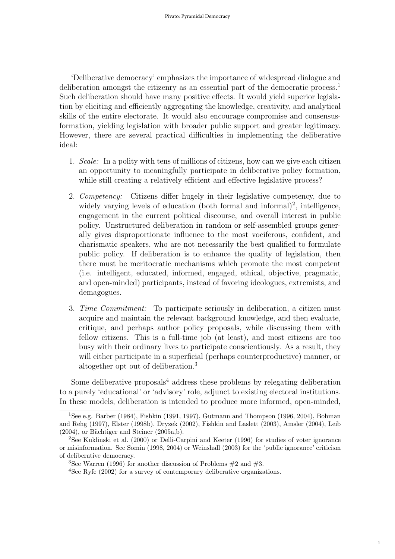'Deliberative democracy' emphasizes the importance of widespread dialogue and deliberation amongst the citizenry as an essential part of the democratic process.<sup>1</sup> Such deliberation should have many positive effects. It would yield superior legislation by eliciting and efficiently aggregating the knowledge, creativity, and analytical skills of the entire electorate. It would also encourage compromise and consensusformation, yielding legislation with broader public support and greater legitimacy. However, there are several practical difficulties in implementing the deliberative ideal:

- 1. Scale: In a polity with tens of millions of citizens, how can we give each citizen an opportunity to meaningfully participate in deliberative policy formation, while still creating a relatively efficient and effective legislative process?
- 2. Competency: Citizens differ hugely in their legislative competency, due to widely varying levels of education (both formal and informal)<sup>2</sup>, intelligence, engagement in the current political discourse, and overall interest in public policy. Unstructured deliberation in random or self-assembled groups generally gives disproportionate influence to the most vociferous, confident, and charismatic speakers, who are not necessarily the best qualified to formulate public policy. If deliberation is to enhance the quality of legislation, then there must be meritocratic mechanisms which promote the most competent (i.e. intelligent, educated, informed, engaged, ethical, objective, pragmatic, and open-minded) participants, instead of favoring ideologues, extremists, and demagogues.
- 3. Time Commitment: To participate seriously in deliberation, a citizen must acquire and maintain the relevant background knowledge, and then evaluate, critique, and perhaps author policy proposals, while discussing them with fellow citizens. This is a full-time job (at least), and most citizens are too busy with their ordinary lives to participate conscientiously. As a result, they will either participate in a superficial (perhaps counterproductive) manner, or altogether opt out of deliberation.<sup>3</sup>

Some deliberative proposals<sup>4</sup> address these problems by relegating deliberation to a purely 'educational' or 'advisory' role, adjunct to existing electoral institutions. In these models, deliberation is intended to produce more informed, open-minded,

1

<sup>1</sup>See e.g. Barber (1984), Fishkin (1991, 1997), Gutmann and Thompson (1996, 2004), Bohman and Rehg (1997), Elster (1998b), Dryzek (2002), Fishkin and Laslett (2003), Amsler (2004), Leib  $(2004)$ , or Bächtiger and Steiner  $(2005a,b)$ .

<sup>2</sup>See Kuklinski et al. (2000) or Delli-Carpini and Keeter (1996) for studies of voter ignorance or misinformation. See Somin (1998, 2004) or Weinshall (2003) for the 'public ignorance' criticism of deliberative democracy.

<sup>&</sup>lt;sup>3</sup>See Warren (1996) for another discussion of Problems  $#2$  and  $#3$ .

<sup>&</sup>lt;sup>4</sup>See Ryfe (2002) for a survey of contemporary deliberative organizations.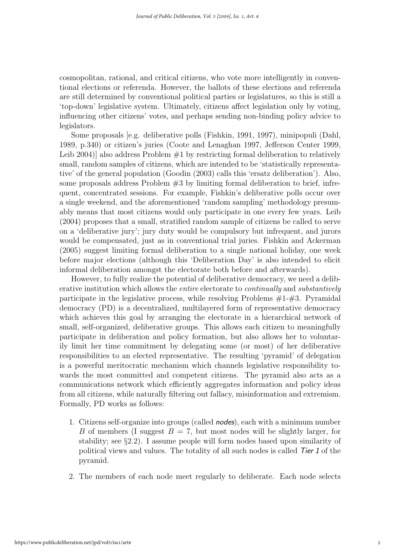cosmopolitan, rational, and critical citizens, who vote more intelligently in conventional elections or referenda. However, the ballots of these elections and referenda are still determined by conventional political parties or legislatures, so this is still a 'top-down' legislative system. Ultimately, citizens affect legislation only by voting, influencing other citizens' votes, and perhaps sending non-binding policy advice to legislators.

Some proposals [e.g. deliberative polls (Fishkin, 1991, 1997), minipopuli (Dahl, 1989, p.340) or citizen's juries (Coote and Lenaghan 1997, Jefferson Center 1999, Leib 2004)] also address Problem  $#1$  by restricting formal deliberation to relatively small, random samples of citizens, which are intended to be 'statistically representative' of the general population (Goodin (2003) calls this 'ersatz deliberation'). Also, some proposals address Problem  $#3$  by limiting formal deliberation to brief, infrequent, concentrated sessions. For example, Fishkin's deliberative polls occur over a single weekend, and the aforementioned 'random sampling' methodology presumably means that most citizens would only participate in one every few years. Leib (2004) proposes that a small, stratified random sample of citizens be called to serve on a 'deliberative jury'; jury duty would be compulsory but infrequent, and jurors would be compensated, just as in conventional trial juries. Fishkin and Ackerman (2005) suggest limiting formal deliberation to a single national holiday, one week before major elections (although this 'Deliberation Day' is also intended to elicit informal deliberation amongst the electorate both before and afterwards).

However, to fully realize the potential of deliberative democracy, we need a deliberative institution which allows the *entire* electorate to *continually* and *substantively* participate in the legislative process, while resolving Problems  $#1-\#3$ . Pyramidal democracy (PD) is a decentralized, multilayered form of representative democracy which achieves this goal by arranging the electorate in a hierarchical network of small, self-organized, deliberative groups. This allows each citizen to meaningfully participate in deliberation and policy formation, but also allows her to voluntarily limit her time commitment by delegating some (or most) of her deliberative responsibilities to an elected representative. The resulting 'pyramid' of delegation is a powerful meritocratic mechanism which channels legislative responsibility towards the most committed and competent citizens. The pyramid also acts as a communications network which efficiently aggregates information and policy ideas from all citizens, while naturally filtering out fallacy, misinformation and extremism. Formally, PD works as follows:

- 1. Citizens self-organize into groups (called nodes), each with a minimum number B of members (I suggest  $B = 7$ , but most nodes will be slightly larger, for stability; see §2.2). I assume people will form nodes based upon similarity of political views and values. The totality of all such nodes is called Tier 1 of the pyramid.
- 2. The members of each node meet regularly to deliberate. Each node selects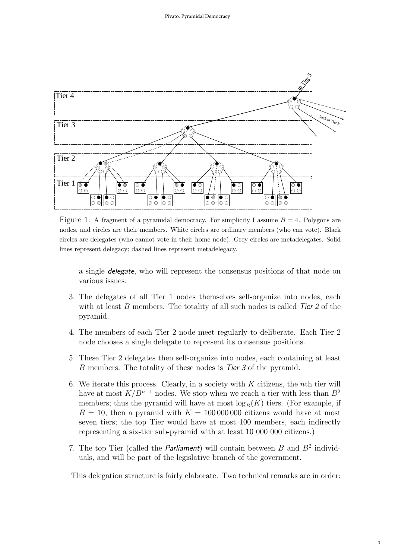

Figure 1: A fragment of a pyramidal democracy. For simplicity I assume  $B = 4$ . Polygons are nodes, and circles are their members. White circles are ordinary members (who can vote). Black circles are delegates (who cannot vote in their home node). Grey circles are metadelegates. Solid lines represent delegacy; dashed lines represent metadelegacy.

a single delegate, who will represent the consensus positions of that node on various issues.

- 3. The delegates of all Tier 1 nodes themselves self-organize into nodes, each with at least  $B$  members. The totality of all such nodes is called  $Tier 2$  of the pyramid.
- 4. The members of each Tier 2 node meet regularly to deliberate. Each Tier 2 node chooses a single delegate to represent its consensus positions.
- 5. These Tier 2 delegates then self-organize into nodes, each containing at least B members. The totality of these nodes is Tier 3 of the pyramid.
- 6. We iterate this process. Clearly, in a society with  $K$  citizens, the *n*th tier will have at most  $K/B^{n-1}$  nodes. We stop when we reach a tier with less than  $B^2$ members; thus the pyramid will have at most  $\log_B(K)$  tiers. (For example, if  $B = 10$ , then a pyramid with  $K = 100000000$  citizens would have at most seven tiers; the top Tier would have at most 100 members, each indirectly representing a six-tier sub-pyramid with at least 10 000 000 citizens.)
- 7. The top Tier (called the *Parliament*) will contain between  $B$  and  $B^2$  individuals, and will be part of the legislative branch of the government.

This delegation structure is fairly elaborate. Two technical remarks are in order: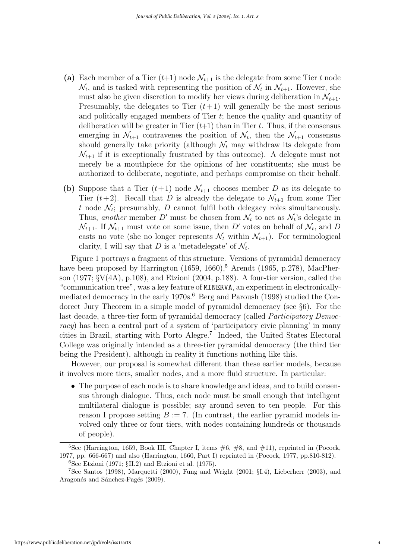- (a) Each member of a Tier  $(t+1)$  node  $\mathcal{N}_{t+1}$  is the delegate from some Tier t node  $\mathcal{N}_t$ , and is tasked with representing the position of  $\mathcal{N}_t$  in  $\mathcal{N}_{t+1}$ . However, she must also be given discretion to modify her views during deliberation in  $\mathcal{N}_{t+1}$ . Presumably, the delegates to Tier  $(t+1)$  will generally be the most serious and politically engaged members of Tier  $t$ ; hence the quality and quantity of deliberation will be greater in Tier  $(t+1)$  than in Tier t. Thus, if the consensus emerging in  $\mathcal{N}_{t+1}$  contravenes the position of  $\mathcal{N}_t$ , then the  $\mathcal{N}_{t+1}$  consensus should generally take priority (although  $\mathcal{N}_t$  may withdraw its delegate from  $\mathcal{N}_{t+1}$  if it is exceptionally frustrated by this outcome). A delegate must not merely be a mouthpiece for the opinions of her constituents; she must be authorized to deliberate, negotiate, and perhaps compromise on their behalf.
- (b) Suppose that a Tier  $(t+1)$  node  $\mathcal{N}_{t+1}$  chooses member D as its delegate to Tier  $(t+2)$ . Recall that D is already the delegate to  $\mathcal{N}_{t+1}$  from some Tier t node  $\mathcal{N}_t$ ; presumably, D cannot fulfil both delegacy roles simultaneously. Thus, another member D' must be chosen from  $\mathcal{N}_t$  to act as  $\mathcal{N}_t$ 's delegate in  $\mathcal{N}_{t+1}$ . If  $\mathcal{N}_{t+1}$  must vote on some issue, then D' votes on behalf of  $\mathcal{N}_t$ , and D casts no vote (she no longer represents  $\mathcal{N}_t$  within  $\mathcal{N}_{t+1}$ ). For terminological clarity, I will say that D is a 'metadelegate' of  $\mathcal{N}_t$ .

Figure 1 portrays a fragment of this structure. Versions of pyramidal democracy have been proposed by Harrington  $(1659, 1660)$ ,<sup>5</sup> Arendt  $(1965, p.278)$ , MacPherson (1977; §V(4A), p.108), and Etzioni (2004, p.188). A four-tier version, called the "communication tree", was a key feature of MINERVA, an experiment in electronicallymediated democracy in the early 1970s.<sup>6</sup> Berg and Paroush (1998) studied the Condorcet Jury Theorem in a simple model of pyramidal democracy (see §6). For the last decade, a three-tier form of pyramidal democracy (called *Participatory Democ*racy) has been a central part of a system of 'participatory civic planning' in many cities in Brazil, starting with Porto Alegre.<sup>7</sup> Indeed, the United States Electoral College was originally intended as a three-tier pyramidal democracy (the third tier being the President), although in reality it functions nothing like this.

However, our proposal is somewhat different than these earlier models, because it involves more tiers, smaller nodes, and a more fluid structure. In particular:

• The purpose of each node is to share knowledge and ideas, and to build consensus through dialogue. Thus, each node must be small enough that intelligent multilateral dialogue is possible; say around seven to ten people. For this reason I propose setting  $B := 7$ . (In contrast, the earlier pyramid models involved only three or four tiers, with nodes containing hundreds or thousands of people).

<sup>&</sup>lt;sup>5</sup>See (Harrington, 1659, Book III, Chapter I, items  $\#6, \#8,$  and  $\#11$ ), reprinted in (Pocock, 1977, pp. 666-667) and also (Harrington, 1660, Part I) reprinted in (Pocock, 1977, pp.810-812).

 ${}^{6}$ See Etzioni (1971;  $\S$ II.2) and Etzioni et al. (1975).

<sup>7</sup>See Santos (1998), Marquetti (2000), Fung and Wright (2001; §I.4), Lieberherr (2003), and Aragonés and Sánchez-Pagés (2009).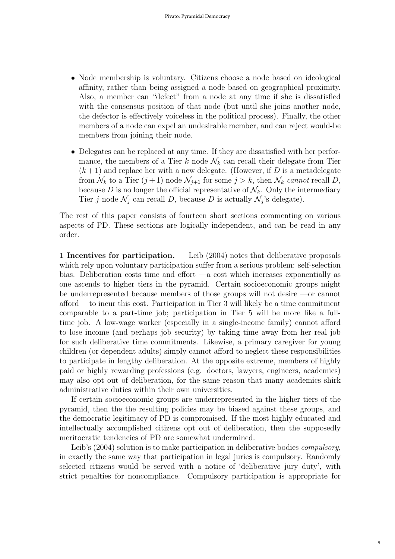- Node membership is voluntary. Citizens choose a node based on ideological affinity, rather than being assigned a node based on geographical proximity. Also, a member can "defect" from a node at any time if she is dissatisfied with the consensus position of that node (but until she joins another node, the defector is effectively voiceless in the political process). Finally, the other members of a node can expel an undesirable member, and can reject would-be members from joining their node.
- Delegates can be replaced at any time. If they are dissatisfied with her performance, the members of a Tier k node  $\mathcal{N}_k$  can recall their delegate from Tier  $(k+1)$  and replace her with a new delegate. (However, if D is a metadelegate from  $\mathcal{N}_k$  to a Tier  $(j+1)$  node  $\mathcal{N}_{j+1}$  for some  $j > k$ , then  $\mathcal{N}_k$  cannot recall D, because D is no longer the official representative of  $\mathcal{N}_k$ . Only the intermediary Tier j node  $\mathcal{N}_j$  can recall D, because D is actually  $\mathcal{N}_j$ 's delegate).

The rest of this paper consists of fourteen short sections commenting on various aspects of PD. These sections are logically independent, and can be read in any order.

1 Incentives for participation. Leib (2004) notes that deliberative proposals which rely upon voluntary participation suffer from a serious problem: self-selection bias. Deliberation costs time and effort —a cost which increases exponentially as one ascends to higher tiers in the pyramid. Certain socioeconomic groups might be underrepresented because members of those groups will not desire —or cannot afford —to incur this cost. Participation in Tier 3 will likely be a time commitment comparable to a part-time job; participation in Tier 5 will be more like a fulltime job. A low-wage worker (especially in a single-income family) cannot afford to lose income (and perhaps job security) by taking time away from her real job for such deliberative time commitments. Likewise, a primary caregiver for young children (or dependent adults) simply cannot afford to neglect these responsibilities to participate in lengthy deliberation. At the opposite extreme, members of highly paid or highly rewarding professions (e.g. doctors, lawyers, engineers, academics) may also opt out of deliberation, for the same reason that many academics shirk administrative duties within their own universities.

If certain socioeconomic groups are underrepresented in the higher tiers of the pyramid, then the the resulting policies may be biased against these groups, and the democratic legitimacy of PD is compromised. If the most highly educated and intellectually accomplished citizens opt out of deliberation, then the supposedly meritocratic tendencies of PD are somewhat undermined.

Leib's (2004) solution is to make participation in deliberative bodies compulsory, in exactly the same way that participation in legal juries is compulsory. Randomly selected citizens would be served with a notice of 'deliberative jury duty', with strict penalties for noncompliance. Compulsory participation is appropriate for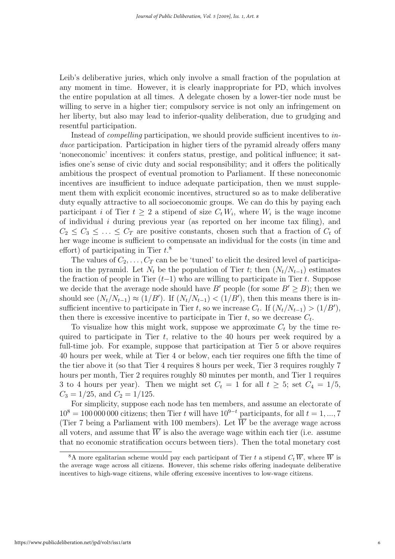Leib's deliberative juries, which only involve a small fraction of the population at any moment in time. However, it is clearly inappropriate for PD, which involves the entire population at all times. A delegate chosen by a lower-tier node must be willing to serve in a higher tier; compulsory service is not only an infringement on her liberty, but also may lead to inferior-quality deliberation, due to grudging and resentful participation.

Instead of compelling participation, we should provide sufficient incentives to induce participation. Participation in higher tiers of the pyramid already offers many 'noneconomic' incentives: it confers status, prestige, and political influence; it satisfies one's sense of civic duty and social responsibility; and it offers the politically ambitious the prospect of eventual promotion to Parliament. If these noneconomic incentives are insufficient to induce adequate participation, then we must supplement them with explicit economic incentives, structured so as to make deliberative duty equally attractive to all socioeconomic groups. We can do this by paying each participant i of Tier  $t \geq 2$  a stipend of size  $C_t W_i$ , where  $W_i$  is the wage income of individual  $i$  during previous year (as reported on her income tax filing), and  $C_2 \leq C_3 \leq \ldots \leq C_T$  are positive constants, chosen such that a fraction of  $C_t$  of her wage income is sufficient to compensate an individual for the costs (in time and effort) of participating in Tier  $t.^8$ 

The values of  $C_2, \ldots, C_T$  can be be 'tuned' to elicit the desired level of participation in the pyramid. Let  $N_t$  be the population of Tier t; then  $(N_t/N_{t-1})$  estimates the fraction of people in Tier  $(t-1)$  who are willing to participate in Tier t. Suppose we decide that the average node should have B' people (for some  $B' > B$ ); then we should see  $(N_t/N_{t-1}) \approx (1/B')$ . If  $(N_t/N_{t-1}) < (1/B')$ , then this means there is insufficient incentive to participate in Tier t, so we increase  $C_t$ . If  $(N_t/N_{t-1}) > (1/B')$ , then there is excessive incentive to participate in Tier  $t$ , so we decrease  $C_t$ .

To visualize how this might work, suppose we approximate  $C_t$  by the time required to participate in Tier t, relative to the 40 hours per week required by a full-time job. For example, suppose that participation at Tier 5 or above requires 40 hours per week, while at Tier 4 or below, each tier requires one fifth the time of the tier above it (so that Tier 4 requires 8 hours per week, Tier 3 requires roughly 7 hours per month, Tier 2 requires roughly 80 minutes per month, and Tier 1 requires 3 to 4 hours per year). Then we might set  $C_t = 1$  for all  $t \geq 5$ ; set  $C_4 = 1/5$ ,  $C_3 = 1/25$ , and  $C_2 = 1/125$ .

For simplicity, suppose each node has ten members, and assume an electorate of  $10^8 = 100\,000\,000$  citizens; then Tier t will have  $10^{9-t}$  participants, for all  $t = 1, ..., 7$ (Tier 7 being a Parliament with 100 members). Let  $\overline{W}$  be the average wage across all voters, and assume that  $\overline{W}$  is also the average wage within each tier (i.e. assume that no economic stratification occurs between tiers). Then the total monetary cost

<sup>&</sup>lt;sup>8</sup>A more egalitarian scheme would pay each participant of Tier t a stipend  $C_t \overline{W}$ , where  $\overline{W}$  is the average wage across all citizens. However, this scheme risks offering inadequate deliberative incentives to high-wage citizens, while offering excessive incentives to low-wage citizens.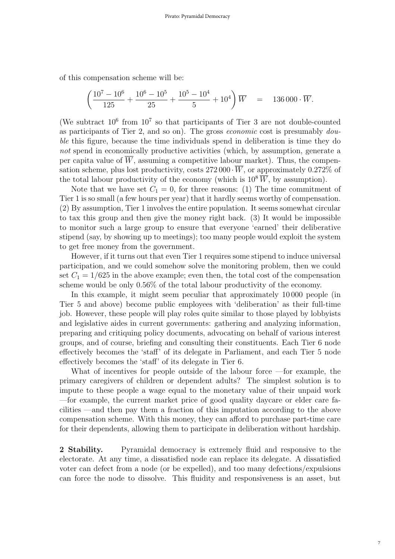of this compensation scheme will be:

$$
\left(\frac{10^7 - 10^6}{125} + \frac{10^6 - 10^5}{25} + \frac{10^5 - 10^4}{5} + 10^4\right)\overline{W} = 136\,000 \cdot \overline{W}.
$$

(We subtract  $10^6$  from  $10^7$  so that participants of Tier 3 are not double-counted as participants of Tier 2, and so on). The gross *economic* cost is presumably  $dou$ ble this figure, because the time individuals spend in deliberation is time they do not spend in economically productive activities (which, by assumption, generate a per capita value of  $\overline{W}$ , assuming a competitive labour market). Thus, the compensation scheme, plus lost productivity, costs  $272\,000 \cdot \overline{W}$ , or approximately 0.272% of the total labour productivity of the economy (which is  $10^8 \overline{W}$ , by assumption).

Note that we have set  $C_1 = 0$ , for three reasons: (1) The time commitment of Tier 1 is so small (a few hours per year) that it hardly seems worthy of compensation. (2) By assumption, Tier 1 involves the entire population. It seems somewhat circular to tax this group and then give the money right back. (3) It would be impossible to monitor such a large group to ensure that everyone 'earned' their deliberative stipend (say, by showing up to meetings); too many people would exploit the system to get free money from the government.

However, if it turns out that even Tier 1 requires some stipend to induce universal participation, and we could somehow solve the monitoring problem, then we could set  $C_1 = 1/625$  in the above example; even then, the total cost of the compensation scheme would be only 0.56% of the total labour productivity of the economy.

In this example, it might seem peculiar that approximately 10 000 people (in Tier 5 and above) become public employees with 'deliberation' as their full-time job. However, these people will play roles quite similar to those played by lobbyists and legislative aides in current governments: gathering and analyzing information, preparing and critiquing policy documents, advocating on behalf of various interest groups, and of course, briefing and consulting their constituents. Each Tier 6 node effectively becomes the 'staff' of its delegate in Parliament, and each Tier 5 node effectively becomes the 'staff' of its delegate in Tier 6.

What of incentives for people outside of the labour force —for example, the primary caregivers of children or dependent adults? The simplest solution is to impute to these people a wage equal to the monetary value of their unpaid work —for example, the current market price of good quality daycare or elder care facilities —and then pay them a fraction of this imputation according to the above compensation scheme. With this money, they can afford to purchase part-time care for their dependents, allowing them to participate in deliberation without hardship.

2 Stability. Pyramidal democracy is extremely fluid and responsive to the electorate. At any time, a dissatisfied node can replace its delegate. A dissatisfied voter can defect from a node (or be expelled), and too many defections/expulsions can force the node to dissolve. This fluidity and responsiveness is an asset, but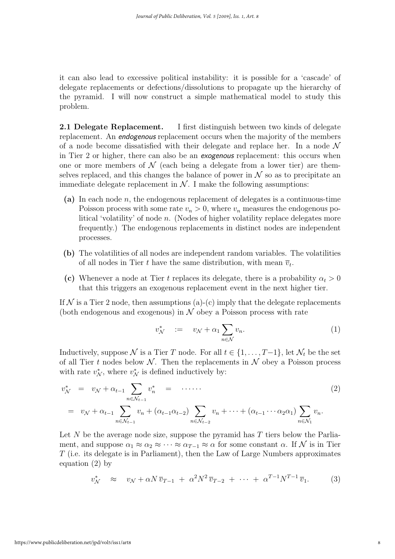it can also lead to excessive political instability: it is possible for a 'cascade' of delegate replacements or defections/dissolutions to propagate up the hierarchy of the pyramid. I will now construct a simple mathematical model to study this problem.

2.1 Delegate Replacement. I first distinguish between two kinds of delegate replacement. An *endogenous* replacement occurs when the majority of the members of a node become dissatisfied with their delegate and replace her. In a node  $\mathcal N$ in Tier 2 or higher, there can also be an exogenous replacement: this occurs when one or more members of  $\mathcal N$  (each being a delegate from a lower tier) are themselves replaced, and this changes the balance of power in  $\mathcal N$  so as to precipitate an immediate delegate replacement in  $\mathcal N$ . I make the following assumptions:

- (a) In each node  $n$ , the endogenous replacement of delegates is a continuous-time Poisson process with some rate  $v_n > 0$ , where  $v_n$  measures the endogenous political 'volatility' of node n. (Nodes of higher volatility replace delegates more frequently.) The endogenous replacements in distinct nodes are independent processes.
- (b) The volatilities of all nodes are independent random variables. The volatilities of all nodes in Tier t have the same distribution, with mean  $\overline{v}_t$ .
- (c) Whenever a node at Tier t replaces its delegate, there is a probability  $\alpha_t > 0$ that this triggers an exogenous replacement event in the next higher tier.

If  $N$  is a Tier 2 node, then assumptions (a)-(c) imply that the delegate replacements (both endogenous and exogenous) in  $\mathcal N$  obey a Poisson process with rate

$$
v^*_{\mathcal{N}} \quad := \quad v_{\mathcal{N}} + \alpha_1 \sum_{n \in \mathcal{N}} v_n. \tag{1}
$$

Inductively, suppose N is a Tier T node. For all  $t \in \{1, \ldots, T-1\}$ , let  $\mathcal{N}_t$  be the set of all Tier t nodes below  $\mathcal N$ . Then the replacements in  $\mathcal N$  obey a Poisson process with rate  $v_N^*$ , where  $v_N^*$  is defined inductively by:

$$
v_N^* = v_N + \alpha_{t-1} \sum_{n \in \mathcal{N}_{t-1}} v_n^* = \cdots \cdots
$$
  
=  $v_N + \alpha_{t-1} \sum_{n \in \mathcal{N}_{t-1}} v_n + (\alpha_{t-1} \alpha_{t-2}) \sum_{n \in \mathcal{N}_{t-2}} v_n + \cdots + (\alpha_{t-1} \cdots \alpha_2 \alpha_1) \sum_{n \in \mathcal{N}_1} v_n.$  (2)

Let  $N$  be the average node size, suppose the pyramid has  $T$  tiers below the Parliament, and suppose  $\alpha_1 \approx \alpha_2 \approx \cdots \approx \alpha_{T-1} \approx \alpha$  for some constant  $\alpha$ . If N is in Tier T (i.e. its delegate is in Parliament), then the Law of Large Numbers approximates equation (2) by

$$
v_N^* \approx v_N + \alpha N \, \overline{v}_{T-1} + \alpha^2 N^2 \, \overline{v}_{T-2} + \cdots + \alpha^{T-1} N^{T-1} \, \overline{v}_1. \tag{3}
$$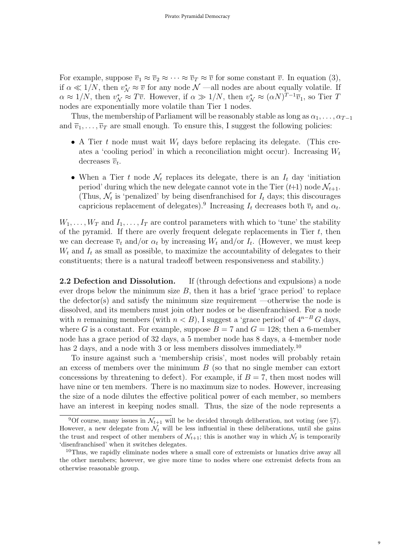For example, suppose  $\overline{v}_1 \approx \overline{v}_2 \approx \cdots \approx \overline{v}_T \approx \overline{v}$  for some constant  $\overline{v}$ . In equation (3), if  $\alpha \ll 1/N$ , then  $v_N^* \approx \overline{v}$  for any node  $\mathcal{N}$  —all nodes are about equally volatile. If  $\alpha \approx 1/N$ , then  $v_N^* \approx T\overline{v}$ . However, if  $\alpha \gg 1/N$ , then  $v_N^* \approx (\alpha N)^{T-1} \overline{v}_1$ , so Tier T nodes are exponentially more volatile than Tier 1 nodes.

Thus, the membership of Parliament will be reasonably stable as long as  $\alpha_1, \ldots, \alpha_{T-1}$ and  $\overline{v}_1, \ldots, \overline{v}_T$  are small enough. To ensure this, I suggest the following policies:

- A Tier t node must wait  $W_t$  days before replacing its delegate. (This creates a 'cooling period' in which a reconciliation might occur). Increasing  $W_t$ decreases  $\overline{v}_t$ .
- When a Tier t node  $\mathcal{N}_t$  replaces its delegate, there is an  $I_t$  day 'initiation period' during which the new delegate cannot vote in the Tier  $(t+1)$  node  $\mathcal{N}_{t+1}$ . (Thus,  $\mathcal{N}_t$  is 'penalized' by being disenfranchised for  $I_t$  days; this discourages capricious replacement of delegates).<sup>9</sup> Increasing  $I_t$  decreases both  $\overline{v}_t$  and  $\alpha_t$ .

 $W_1, \ldots, W_T$  and  $I_1, \ldots, I_T$  are control parameters with which to 'tune' the stability of the pyramid. If there are overly frequent delegate replacements in Tier  $t$ , then we can decrease  $\overline{v}_t$  and/or  $\alpha_t$  by increasing  $W_t$  and/or  $I_t$ . (However, we must keep  $W_t$  and  $I_t$  as small as possible, to maximize the accountability of delegates to their constituents; there is a natural tradeoff between responsiveness and stability.)

2.2 Defection and Dissolution. If (through defections and expulsions) a node ever drops below the minimum size  $B$ , then it has a brief 'grace period' to replace the defector(s) and satisfy the minimum size requirement —otherwise the node is dissolved, and its members must join other nodes or be disenfranchised. For a node with n remaining members (with  $n < B$ ), I suggest a 'grace period' of  $4^{n-B}G$  days, where G is a constant. For example, suppose  $B = 7$  and  $G = 128$ ; then a 6-member node has a grace period of 32 days, a 5 member node has 8 days, a 4-member node has 2 days, and a node with 3 or less members dissolves immediately.<sup>10</sup>

To insure against such a 'membership crisis', most nodes will probably retain an excess of members over the minimum  $B$  (so that no single member can extort concessions by threatening to defect). For example, if  $B = 7$ , then most nodes will have nine or ten members. There is no maximum size to nodes. However, increasing the size of a node dilutes the effective political power of each member, so members have an interest in keeping nodes small. Thus, the size of the node represents a

9

<sup>&</sup>lt;sup>9</sup>Of course, many issues in  $\mathcal{N}_{t+1}$  will be be decided through deliberation, not voting (see §7). However, a new delegate from  $\mathcal{N}_t$  will be less influential in these deliberations, until she gains the trust and respect of other members of  $\mathcal{N}_{t+1}$ ; this is another way in which  $\mathcal{N}_t$  is temporarily 'disenfranchised' when it switches delegates.

 $10$ Thus, we rapidly eliminate nodes where a small core of extremists or lunatics drive away all the other members; however, we give more time to nodes where one extremist defects from an otherwise reasonable group.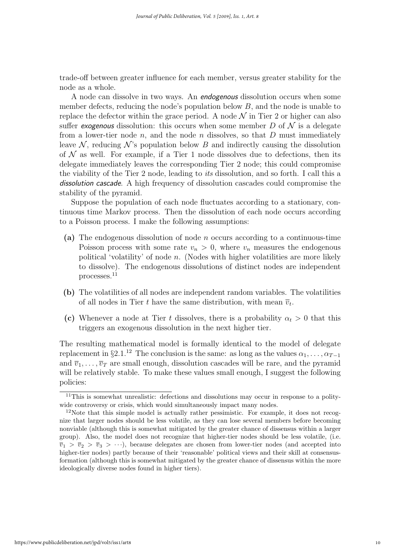trade-off between greater influence for each member, versus greater stability for the node as a whole.

A node can dissolve in two ways. An endogenous dissolution occurs when some member defects, reducing the node's population below  $B$ , and the node is unable to replace the defector within the grace period. A node  $\mathcal N$  in Tier 2 or higher can also suffer exogenous dissolution: this occurs when some member  $D$  of  $\mathcal N$  is a delegate from a lower-tier node n, and the node n dissolves, so that  $D$  must immediately leave  $\mathcal N$ , reducing  $\mathcal N$ 's population below B and indirectly causing the dissolution of  $N$  as well. For example, if a Tier 1 node dissolves due to defections, then its delegate immediately leaves the corresponding Tier 2 node; this could compromise the viability of the Tier 2 node, leading to its dissolution, and so forth. I call this a dissolution cascade. A high frequency of dissolution cascades could compromise the stability of the pyramid.

Suppose the population of each node fluctuates according to a stationary, continuous time Markov process. Then the dissolution of each node occurs according to a Poisson process. I make the following assumptions:

- (a) The endogenous dissolution of node n occurs according to a continuous-time Poisson process with some rate  $v_n > 0$ , where  $v_n$  measures the endogenous political 'volatility' of node n. (Nodes with higher volatilities are more likely to dissolve). The endogenous dissolutions of distinct nodes are independent processes.<sup>11</sup>
- (b) The volatilities of all nodes are independent random variables. The volatilities of all nodes in Tier t have the same distribution, with mean  $\overline{v}_t$ .
- (c) Whenever a node at Tier t dissolves, there is a probability  $\alpha_t > 0$  that this triggers an exogenous dissolution in the next higher tier.

The resulting mathematical model is formally identical to the model of delegate replacement in §2.1.<sup>12</sup> The conclusion is the same: as long as the values  $\alpha_1, \ldots, \alpha_{T-1}$ and  $\overline{v}_1, \ldots, \overline{v}_T$  are small enough, dissolution cascades will be rare, and the pyramid will be relatively stable. To make these values small enough, I suggest the following policies:

 $11$ This is somewhat unrealistic: defections and dissolutions may occur in response to a politywide controversy or crisis, which would simultaneously impact many nodes.

<sup>&</sup>lt;sup>12</sup>Note that this simple model is actually rather pessimistic. For example, it does not recognize that larger nodes should be less volatile, as they can lose several members before becoming nonviable (although this is somewhat mitigated by the greater chance of dissensus within a larger group). Also, the model does not recognize that higher-tier nodes should be less volatile, (i.e.  $\overline{v}_1 > \overline{v}_2 > \overline{v}_3 > \cdots$ ), because delegates are chosen from lower-tier nodes (and accepted into higher-tier nodes) partly because of their 'reasonable' political views and their skill at consensusformation (although this is somewhat mitigated by the greater chance of dissensus within the more ideologically diverse nodes found in higher tiers).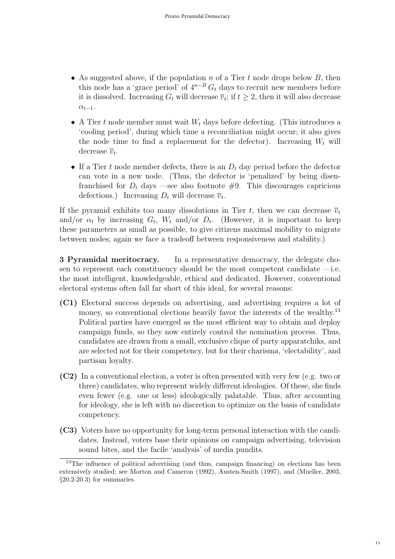- As suggested above, if the population n of a Tier t node drops below B, then this node has a 'grace period' of  $4^{n-B} G_t$  days to recruit new members before it is dissolved. Increasing  $G_t$  will decrease  $\overline{v}_t$ ; if  $t \geq 2$ , then it will also decrease  $\alpha_{t-1}$ .
- A Tier t node member must wait  $W_t$  days before defecting. (This introduces a 'cooling period', during which time a reconciliation might occur; it also gives the node time to find a replacement for the defector). Increasing  $W_t$  will decrease  $\overline{v}_t$ .
- If a Tier t node member defects, there is an  $D_t$  day period before the defector can vote in a new node. (Thus, the defector is 'penalized' by being disenfranchised for  $D_t$  days —see also footnote #9. This discourages capricious defections.) Increasing  $D_t$  will decrease  $\overline{v}_t$ .

If the pyramid exhibits too many dissolutions in Tier t, then we can decrease  $\bar{v}_t$ and/or  $\alpha_t$  by increasing  $G_t$ ,  $W_t$  and/or  $D_t$ . (However, it is important to keep these parameters as small as possible, to give citizens maximal mobility to migrate between nodes; again we face a tradeoff between responsiveness and stability.)

3 Pyramidal meritocracy. In a representative democracy, the delegate chosen to represent each constituency should be the most competent candidate —i.e. the most intelligent, knowledgeable, ethical and dedicated. However, conventional electoral systems often fall far short of this ideal, for several reasons:

- (C1) Electoral success depends on advertising, and advertising requires a lot of money, so conventional elections heavily favor the interests of the wealthy.<sup>13</sup> Political parties have emerged as the most efficient way to obtain and deploy campaign funds, so they now entirely control the nomination process. Thus, candidates are drawn from a small, exclusive clique of party apparatchiks, and are selected not for their competency, but for their charisma, 'electability', and partisan loyalty.
- (C2) In a conventional election, a voter is often presented with very few (e.g. two or three) candidates, who represent widely different ideologies. Of these, she finds even fewer (e.g. one or less) ideologically palatable. Thus, after accounting for ideology, she is left with no discretion to optimize on the basis of candidate competency.
- (C3) Voters have no opportunity for long-term personal interaction with the candidates. Instead, voters base their opinions on campaign advertising, television sound bites, and the facile 'analysis' of media pundits.

<sup>&</sup>lt;sup>13</sup>The influence of political advertising (and thus, campaign financing) on elections has been extensively studied; see Morton and Cameron (1992), Austen-Smith (1997), and (Mueller, 2003, §20.2-20.3) for summaries.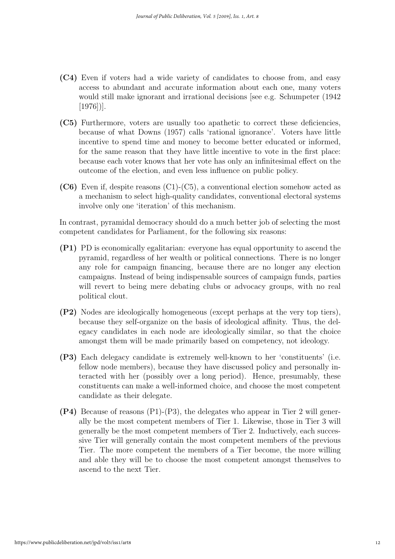- (C4) Even if voters had a wide variety of candidates to choose from, and easy access to abundant and accurate information about each one, many voters would still make ignorant and irrational decisions [see e.g. Schumpeter (1942 [1976])].
- (C5) Furthermore, voters are usually too apathetic to correct these deficiencies, because of what Downs (1957) calls 'rational ignorance'. Voters have little incentive to spend time and money to become better educated or informed, for the same reason that they have little incentive to vote in the first place: because each voter knows that her vote has only an infinitesimal effect on the outcome of the election, and even less influence on public policy.
- (C6) Even if, despite reasons (C1)-(C5), a conventional election somehow acted as a mechanism to select high-quality candidates, conventional electoral systems involve only one 'iteration' of this mechanism.

In contrast, pyramidal democracy should do a much better job of selecting the most competent candidates for Parliament, for the following six reasons:

- (P1) PD is economically egalitarian: everyone has equal opportunity to ascend the pyramid, regardless of her wealth or political connections. There is no longer any role for campaign financing, because there are no longer any election campaigns. Instead of being indispensable sources of campaign funds, parties will revert to being mere debating clubs or advocacy groups, with no real political clout.
- (P2) Nodes are ideologically homogeneous (except perhaps at the very top tiers), because they self-organize on the basis of ideological affinity. Thus, the delegacy candidates in each node are ideologically similar, so that the choice amongst them will be made primarily based on competency, not ideology.
- (P3) Each delegacy candidate is extremely well-known to her 'constituents' (i.e. fellow node members), because they have discussed policy and personally interacted with her (possibly over a long period). Hence, presumably, these constituents can make a well-informed choice, and choose the most competent candidate as their delegate.
- (P4) Because of reasons (P1)-(P3), the delegates who appear in Tier 2 will generally be the most competent members of Tier 1. Likewise, those in Tier 3 will generally be the most competent members of Tier 2. Inductively, each successive Tier will generally contain the most competent members of the previous Tier. The more competent the members of a Tier become, the more willing and able they will be to choose the most competent amongst themselves to ascend to the next Tier.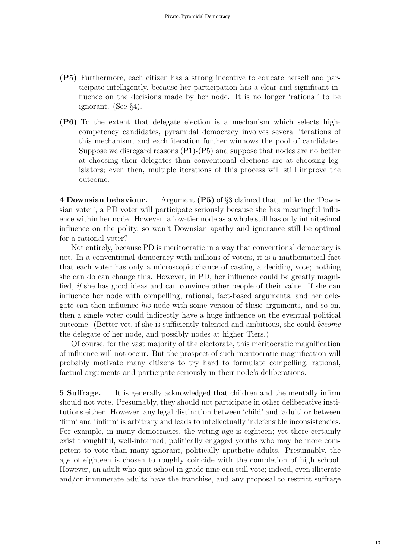- (P5) Furthermore, each citizen has a strong incentive to educate herself and participate intelligently, because her participation has a clear and significant influence on the decisions made by her node. It is no longer 'rational' to be ignorant. (See §4).
- (P6) To the extent that delegate election is a mechanism which selects highcompetency candidates, pyramidal democracy involves several iterations of this mechanism, and each iteration further winnows the pool of candidates. Suppose we disregard reasons (P1)-(P5) and suppose that nodes are no better at choosing their delegates than conventional elections are at choosing legislators; even then, multiple iterations of this process will still improve the outcome.

4 Downsian behaviour. Argument (P5) of §3 claimed that, unlike the 'Downsian voter', a PD voter will participate seriously because she has meaningful influence within her node. However, a low-tier node as a whole still has only infinitesimal influence on the polity, so won't Downsian apathy and ignorance still be optimal for a rational voter?

Not entirely, because PD is meritocratic in a way that conventional democracy is not. In a conventional democracy with millions of voters, it is a mathematical fact that each voter has only a microscopic chance of casting a deciding vote; nothing she can do can change this. However, in PD, her influence could be greatly magnified, if she has good ideas and can convince other people of their value. If she can influence her node with compelling, rational, fact-based arguments, and her delegate can then influence his node with some version of these arguments, and so on, then a single voter could indirectly have a huge influence on the eventual political outcome. (Better yet, if she is sufficiently talented and ambitious, she could become the delegate of her node, and possibly nodes at higher Tiers.)

Of course, for the vast majority of the electorate, this meritocratic magnification of influence will not occur. But the prospect of such meritocratic magnification will probably motivate many citizens to try hard to formulate compelling, rational, factual arguments and participate seriously in their node's deliberations.

5 Suffrage. It is generally acknowledged that children and the mentally infirm should not vote. Presumably, they should not participate in other deliberative institutions either. However, any legal distinction between 'child' and 'adult' or between 'firm' and 'infirm' is arbitrary and leads to intellectually indefensible inconsistencies. For example, in many democracies, the voting age is eighteen; yet there certainly exist thoughtful, well-informed, politically engaged youths who may be more competent to vote than many ignorant, politically apathetic adults. Presumably, the age of eighteen is chosen to roughly coincide with the completion of high school. However, an adult who quit school in grade nine can still vote; indeed, even illiterate and/or innumerate adults have the franchise, and any proposal to restrict suffrage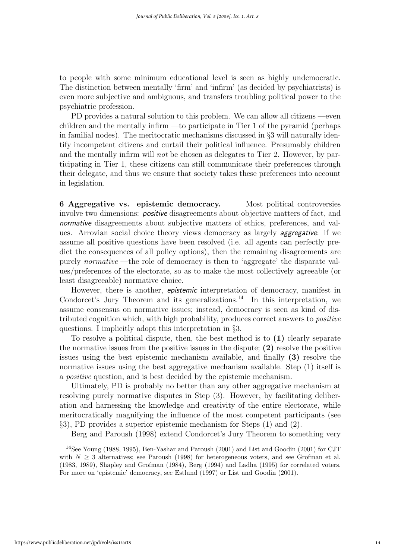to people with some minimum educational level is seen as highly undemocratic. The distinction between mentally 'firm' and 'infirm' (as decided by psychiatrists) is even more subjective and ambiguous, and transfers troubling political power to the psychiatric profession.

PD provides a natural solution to this problem. We can allow all citizens —even children and the mentally infirm —to participate in Tier 1 of the pyramid (perhaps in familial nodes). The meritocratic mechanisms discussed in §3 will naturally identify incompetent citizens and curtail their political influence. Presumably children and the mentally infirm will not be chosen as delegates to Tier 2. However, by participating in Tier 1, these citizens can still communicate their preferences through their delegate, and thus we ensure that society takes these preferences into account in legislation.

6 Aggregative vs. epistemic democracy. Most political controversies involve two dimensions: *positive* disagreements about objective matters of fact, and normative disagreements about subjective matters of ethics, preferences, and values. Arrovian social choice theory views democracy as largely aggregative: if we assume all positive questions have been resolved (i.e. all agents can perfectly predict the consequences of all policy options), then the remaining disagreements are purely normative —the role of democracy is then to 'aggregate' the disparate values/preferences of the electorate, so as to make the most collectively agreeable (or least disagreeable) normative choice.

However, there is another, *epistemic* interpretation of democracy, manifest in Condorcet's Jury Theorem and its generalizations.<sup>14</sup> In this interpretation, we assume consensus on normative issues; instead, democracy is seen as kind of distributed cognition which, with high probability, produces correct answers to positive questions. I implicitly adopt this interpretation in §3.

To resolve a political dispute, then, the best method is to (1) clearly separate the normative issues from the positive issues in the dispute; (2) resolve the positive issues using the best epistemic mechanism available, and finally (3) resolve the normative issues using the best aggregative mechanism available. Step (1) itself is a positive question, and is best decided by the epistemic mechanism.

Ultimately, PD is probably no better than any other aggregative mechanism at resolving purely normative disputes in Step (3). However, by facilitating deliberation and harnessing the knowledge and creativity of the entire electorate, while meritocratically magnifying the influence of the most competent participants (see §3), PD provides a superior epistemic mechanism for Steps (1) and (2).

Berg and Paroush (1998) extend Condorcet's Jury Theorem to something very

<sup>14</sup>See Young (1988, 1995), Ben-Yashar and Paroush (2001) and List and Goodin (2001) for CJT with  $N \geq 3$  alternatives; see Paroush (1998) for heterogeneous voters, and see Grofman et al. (1983, 1989), Shapley and Grofman (1984), Berg (1994) and Ladha (1995) for correlated voters. For more on 'epistemic' democracy, see Estlund (1997) or List and Goodin (2001).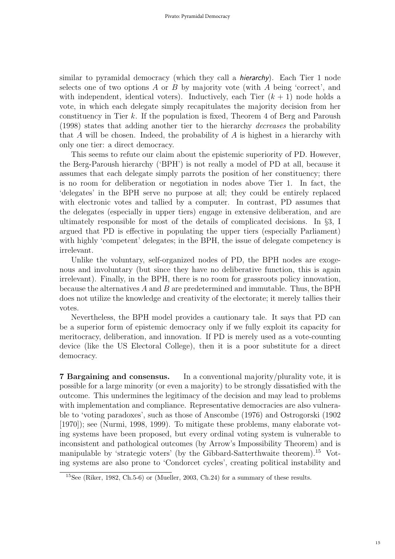similar to pyramidal democracy (which they call a *hierarchy*). Each Tier 1 node selects one of two options A or B by majority vote (with A being 'correct', and with independent, identical voters). Inductively, each Tier  $(k + 1)$  node holds a vote, in which each delegate simply recapitulates the majority decision from her constituency in Tier k. If the population is fixed, Theorem 4 of Berg and Paroush (1998) states that adding another tier to the hierarchy decreases the probability that A will be chosen. Indeed, the probability of A is highest in a hierarchy with only one tier: a direct democracy.

This seems to refute our claim about the epistemic superiority of PD. However, the Berg-Paroush hierarchy ('BPH') is not really a model of PD at all, because it assumes that each delegate simply parrots the position of her constituency; there is no room for deliberation or negotiation in nodes above Tier 1. In fact, the 'delegates' in the BPH serve no purpose at all; they could be entirely replaced with electronic votes and tallied by a computer. In contrast, PD assumes that the delegates (especially in upper tiers) engage in extensive deliberation, and are ultimately responsible for most of the details of complicated decisions. In §3, I argued that PD is effective in populating the upper tiers (especially Parliament) with highly 'competent' delegates; in the BPH, the issue of delegate competency is irrelevant.

Unlike the voluntary, self-organized nodes of PD, the BPH nodes are exogenous and involuntary (but since they have no deliberative function, this is again irrelevant). Finally, in the BPH, there is no room for grassroots policy innovation, because the alternatives  $A$  and  $B$  are predetermined and immutable. Thus, the BPH does not utilize the knowledge and creativity of the electorate; it merely tallies their votes.

Nevertheless, the BPH model provides a cautionary tale. It says that PD can be a superior form of epistemic democracy only if we fully exploit its capacity for meritocracy, deliberation, and innovation. If PD is merely used as a vote-counting device (like the US Electoral College), then it is a poor substitute for a direct democracy.

7 Bargaining and consensus. In a conventional majority/plurality vote, it is possible for a large minority (or even a majority) to be strongly dissatisfied with the outcome. This undermines the legitimacy of the decision and may lead to problems with implementation and compliance. Representative democracies are also vulnerable to 'voting paradoxes', such as those of Anscombe (1976) and Ostrogorski (1902 [1970]); see (Nurmi, 1998, 1999). To mitigate these problems, many elaborate voting systems have been proposed, but every ordinal voting system is vulnerable to inconsistent and pathological outcomes (by Arrow's Impossibility Theorem) and is manipulable by 'strategic voters' (by the Gibbard-Satterthwaite theorem).<sup>15</sup> Voting systems are also prone to 'Condorcet cycles', creating political instability and

<sup>15</sup>See (Riker, 1982, Ch.5-6) or (Mueller, 2003, Ch.24) for a summary of these results.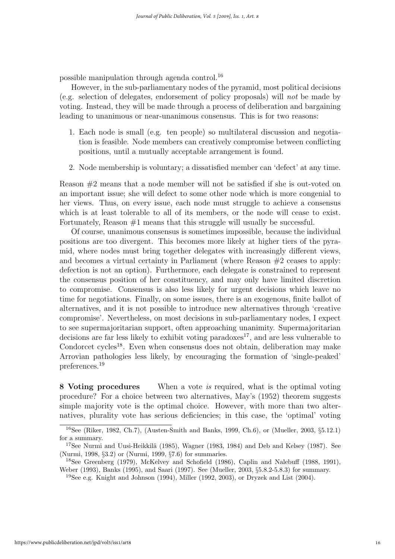possible manipulation through agenda control.<sup>16</sup>

However, in the sub-parliamentary nodes of the pyramid, most political decisions (e.g. selection of delegates, endorsement of policy proposals) will not be made by voting. Instead, they will be made through a process of deliberation and bargaining leading to unanimous or near-unanimous consensus. This is for two reasons:

- 1. Each node is small (e.g. ten people) so multilateral discussion and negotiation is feasible. Node members can creatively compromise between conflicting positions, until a mutually acceptable arrangement is found.
- 2. Node membership is voluntary; a dissatisfied member can 'defect' at any time.

Reason #2 means that a node member will not be satisfied if she is out-voted on an important issue; she will defect to some other node which is more congenial to her views. Thus, on every issue, each node must struggle to achieve a consensus which is at least tolerable to all of its members, or the node will cease to exist. Fortunately, Reason  $#1$  means that this struggle will usually be successful.

Of course, unanimous consensus is sometimes impossible, because the individual positions are too divergent. This becomes more likely at higher tiers of the pyramid, where nodes must bring together delegates with increasingly different views, and becomes a virtual certainty in Parliament (where Reason #2 ceases to apply: defection is not an option). Furthermore, each delegate is constrained to represent the consensus position of her constituency, and may only have limited discretion to compromise. Consensus is also less likely for urgent decisions which leave no time for negotiations. Finally, on some issues, there is an exogenous, finite ballot of alternatives, and it is not possible to introduce new alternatives through 'creative compromise'. Nevertheless, on most decisions in sub-parliamentary nodes, I expect to see supermajoritarian support, often approaching unanimity. Supermajoritarian decisions are far less likely to exhibit voting paradoxes<sup>17</sup>, and are less vulnerable to Condorcet cycles<sup>18</sup>. Even when consensus does not obtain, deliberation may make Arrovian pathologies less likely, by encouraging the formation of 'single-peaked' preferences.<sup>19</sup>

8 Voting procedures When a vote is required, what is the optimal voting procedure? For a choice between two alternatives, May's (1952) theorem suggests simple majority vote is the optimal choice. However, with more than two alternatives, plurality vote has serious deficiencies; in this case, the 'optimal' voting

<sup>16</sup>See (Riker, 1982, Ch.7), (Austen-Smith and Banks, 1999, Ch.6), or (Mueller, 2003, §5.12.1) for a summary.

<sup>&</sup>lt;sup>17</sup>See Nurmi and Uusi-Heikkilä (1985), Wagner (1983, 1984) and Deb and Kelsey (1987). See (Nurmi, 1998, §3.2) or (Nurmi, 1999, §7.6) for summaries.

<sup>18</sup>See Greenberg (1979), McKelvey and Schofield (1986), Caplin and Nalebuff (1988, 1991), Weber (1993), Banks (1995), and Saari (1997). See (Mueller, 2003, §5.8.2-5.8.3) for summary.

 $19$ See e.g. Knight and Johnson (1994), Miller (1992, 2003), or Dryzek and List (2004).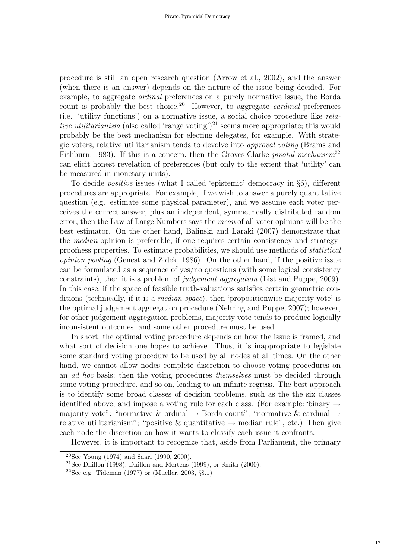procedure is still an open research question (Arrow et al., 2002), and the answer (when there is an answer) depends on the nature of the issue being decided. For example, to aggregate ordinal preferences on a purely normative issue, the Borda count is probably the best choice.<sup>20</sup> However, to aggregate *cardinal* preferences (i.e. 'utility functions') on a normative issue, a social choice procedure like relative utilitarianism (also called 'range voting')<sup>21</sup> seems more appropriate; this would probably be the best mechanism for electing delegates, for example. With strategic voters, relative utilitarianism tends to devolve into approval voting (Brams and Fishburn, 1983). If this is a concern, then the Groves-Clarke pivotal mechanism<sup>22</sup> can elicit honest revelation of preferences (but only to the extent that 'utility' can be measured in monetary units).

To decide positive issues (what I called 'epistemic' democracy in §6), different procedures are appropriate. For example, if we wish to answer a purely quantitative question (e.g. estimate some physical parameter), and we assume each voter perceives the correct answer, plus an independent, symmetrically distributed random error, then the Law of Large Numbers says the mean of all voter opinions will be the best estimator. On the other hand, Balinski and Laraki (2007) demonstrate that the median opinion is preferable, if one requires certain consistency and strategyproofness properties. To estimate probabilities, we should use methods of statistical opinion pooling (Genest and Zidek, 1986). On the other hand, if the positive issue can be formulated as a sequence of yes/no questions (with some logical consistency constraints), then it is a problem of judgement aggregation (List and Puppe, 2009). In this case, if the space of feasible truth-valuations satisfies certain geometric conditions (technically, if it is a median space), then 'propositionwise majority vote' is the optimal judgement aggregation procedure (Nehring and Puppe, 2007); however, for other judgement aggregation problems, majority vote tends to produce logically inconsistent outcomes, and some other procedure must be used.

In short, the optimal voting procedure depends on how the issue is framed, and what sort of decision one hopes to achieve. Thus, it is inappropriate to legislate some standard voting procedure to be used by all nodes at all times. On the other hand, we cannot allow nodes complete discretion to choose voting procedures on an ad hoc basis; then the voting procedures themselves must be decided through some voting procedure, and so on, leading to an infinite regress. The best approach is to identify some broad classes of decision problems, such as the the six classes identified above, and impose a voting rule for each class. (For example: "binary  $\rightarrow$ majority vote"; "normative & ordinal  $\rightarrow$  Borda count"; "normative & cardinal  $\rightarrow$ relative utilitarianism"; "positive & quantitative  $\rightarrow$  median rule", etc.) Then give each node the discretion on how it wants to classify each issue it confronts.

However, it is important to recognize that, aside from Parliament, the primary

<sup>20</sup>See Young (1974) and Saari (1990, 2000).

<sup>&</sup>lt;sup>21</sup>See Dhillon (1998), Dhillon and Mertens (1999), or Smith (2000).

<sup>&</sup>lt;sup>22</sup>See e.g. Tideman (1977) or (Mueller, 2003,  $\S 8.1$ )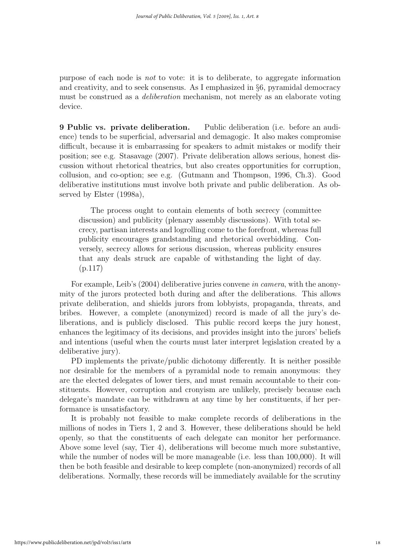purpose of each node is not to vote: it is to deliberate, to aggregate information and creativity, and to seek consensus. As I emphasized in §6, pyramidal democracy must be construed as a deliberation mechanism, not merely as an elaborate voting device.

9 Public vs. private deliberation. Public deliberation (i.e. before an audience) tends to be superficial, adversarial and demagogic. It also makes compromise difficult, because it is embarrassing for speakers to admit mistakes or modify their position; see e.g. Stasavage (2007). Private deliberation allows serious, honest discussion without rhetorical theatrics, but also creates opportunities for corruption, collusion, and co-option; see e.g. (Gutmann and Thompson, 1996, Ch.3). Good deliberative institutions must involve both private and public deliberation. As observed by Elster (1998a),

The process ought to contain elements of both secrecy (committee discussion) and publicity (plenary assembly discussions). With total secrecy, partisan interests and logrolling come to the forefront, whereas full publicity encourages grandstanding and rhetorical overbidding. Conversely, secrecy allows for serious discussion, whereas publicity ensures that any deals struck are capable of withstanding the light of day. (p.117)

For example, Leib's (2004) deliberative juries convene in camera, with the anonymity of the jurors protected both during and after the deliberations. This allows private deliberation, and shields jurors from lobbyists, propaganda, threats, and bribes. However, a complete (anonymized) record is made of all the jury's deliberations, and is publicly disclosed. This public record keeps the jury honest, enhances the legitimacy of its decisions, and provides insight into the jurors' beliefs and intentions (useful when the courts must later interpret legislation created by a deliberative jury).

PD implements the private/public dichotomy differently. It is neither possible nor desirable for the members of a pyramidal node to remain anonymous: they are the elected delegates of lower tiers, and must remain accountable to their constituents. However, corruption and cronyism are unlikely, precisely because each delegate's mandate can be withdrawn at any time by her constituents, if her performance is unsatisfactory.

It is probably not feasible to make complete records of deliberations in the millions of nodes in Tiers 1, 2 and 3. However, these deliberations should be held openly, so that the constituents of each delegate can monitor her performance. Above some level (say, Tier 4), deliberations will become much more substantive, while the number of nodes will be more manageable (i.e. less than 100,000). It will then be both feasible and desirable to keep complete (non-anonymized) records of all deliberations. Normally, these records will be immediately available for the scrutiny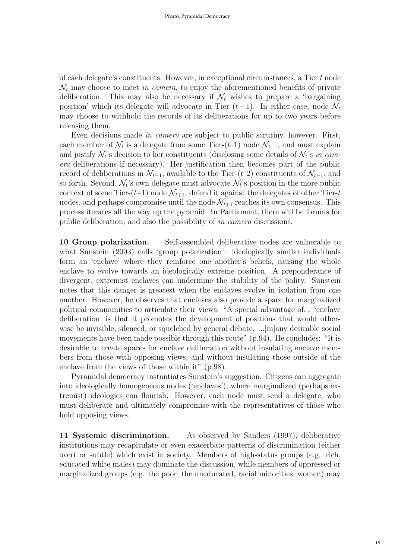of each delegate's constituents. However, in exceptional circumstances, a Tier t node  $\mathcal{N}_t$  may choose to meet in camera, to enjoy the aforementioned benefits of private deliberation. This may also be necessary if  $\mathcal{N}_t$  wishes to prepare a 'bargaining position' which its delegate will advocate in Tier  $(t+1)$ . In either case, node  $\mathcal{N}_t$ may choose to withhold the records of its deliberations for up to two years before releasing them.

Even decisions made in camera are subject to public scrutiny, however. First, each member of  $\mathcal{N}_t$  is a delegate from some Tier- $(t-1)$  node  $\mathcal{N}_{t-1}$ , and must explain and justify  $\mathcal{N}_t$ 's decision to her constituents (disclosing some details of  $\mathcal{N}_t$ 's in camera deliberations if necessary). Her justification then becomes part of the public record of deliberations in  $\mathcal{N}_{t-1}$ , available to the Tier-(t–2) constituents of  $\mathcal{N}_{t-1}$ , and so forth. Second,  $\mathcal{N}_t$ 's own delegate must advocate  $\mathcal{N}_t$ 's position in the more public context of some Tier- $(t+1)$  node  $\mathcal{N}_{t+1}$ , defend it against the delegates of other Tier-t nodes, and perhaps compromise until the node  $\mathcal{N}_{t+1}$  reaches its own consensus. This process iterates all the way up the pyramid. In Parliament, there will be forums for public deliberation, and also the possibility of in camera discussions.

10 Group polarization. Self-assembled deliberative nodes are vulnerable to what Sunstein (2003) calls 'group polarization': ideologically similar individuals form an 'enclave' where they reinforce one another's beliefs, causing the whole enclave to evolve towards an ideologically extreme position. A preponderance of divergent, extremist enclaves can undermine the stability of the polity. Sunstein notes that this danger is greatest when the enclaves evolve in isolation from one another. However, he observes that enclaves also provide a space for marginalized political communities to articulate their views: "A special advantage of... 'enclave deliberation' is that it promotes the development of positions that would otherwise be invisible, silenced, or squelched by general debate. ... [m]any desirable social movements have been made possible through this route" (p.94). He concludes: "It is desirable to create spaces for enclave deliberation without insulating enclave members from those with opposing views, and without insulating those outside of the enclave from the views of those within it" (p.98).

Pyramidal democracy instantiates Sunstein's suggestion. Citizens can aggregate into ideologically homogeneous nodes ('enclaves'), where marginalized (perhaps extremist) ideologies can flourish. However, each node must send a delegate, who must deliberate and ultimately compromise with the representatives of those who hold opposing views.

11 Systemic discrimination. As observed by Sanders (1997), deliberative institutions may recapitulate or even exacerbate patterns of discrimination (either overt or subtle) which exist in society. Members of high-status groups (e.g. rich, educated white males) may dominate the discussion, while members of oppressed or marginalized groups (e.g. the poor, the uneducated, racial minorities, women) may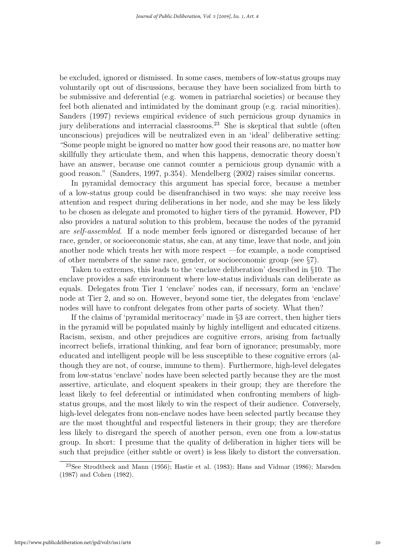be excluded, ignored or dismissed. In some cases, members of low-status groups may voluntarily opt out of discussions, because they have been socialized from birth to be submissive and deferential (e.g. women in patriarchal societies) or because they feel both alienated and intimidated by the dominant group (e.g. racial minorities). Sanders (1997) reviews empirical evidence of such pernicious group dynamics in jury deliberations and interracial classrooms.<sup>23</sup> She is skeptical that subtle (often unconscious) prejudices will be neutralized even in an 'ideal' deliberative setting: "Some people might be ignored no matter how good their reasons are, no matter how skillfully they articulate them, and when this happens, democratic theory doesn't have an answer, because one cannot counter a pernicious group dynamic with a good reason." (Sanders, 1997, p.354). Mendelberg (2002) raises similar concerns.

In pyramidal democracy this argument has special force, because a member of a low-status group could be disenfranchised in two ways: she may receive less attention and respect during deliberations in her node, and she may be less likely to be chosen as delegate and promoted to higher tiers of the pyramid. However, PD also provides a natural solution to this problem, because the nodes of the pyramid are self-assembled. If a node member feels ignored or disregarded because of her race, gender, or socioeconomic status, she can, at any time, leave that node, and join another node which treats her with more respect —for example, a node comprised of other members of the same race, gender, or socioeconomic group (see §7).

Taken to extremes, this leads to the 'enclave deliberation' described in §10. The enclave provides a safe environment where low-status individuals can deliberate as equals. Delegates from Tier 1 'enclave' nodes can, if necessary, form an 'enclave' node at Tier 2, and so on. However, beyond some tier, the delegates from 'enclave' nodes will have to confront delegates from other parts of society. What then?

If the claims of 'pyramidal meritocracy' made in §3 are correct, then higher tiers in the pyramid will be populated mainly by highly intelligent and educated citizens. Racism, sexism, and other prejudices are cognitive errors, arising from factually incorrect beliefs, irrational thinking, and fear born of ignorance; presumably, more educated and intelligent people will be less susceptible to these cognitive errors (although they are not, of course, immune to them). Furthermore, high-level delegates from low-status 'enclave' nodes have been selected partly because they are the most assertive, articulate, and eloquent speakers in their group; they are therefore the least likely to feel deferential or intimidated when confronting members of highstatus groups, and the most likely to win the respect of their audience. Conversely, high-level delegates from non-enclave nodes have been selected partly because they are the most thoughtful and respectful listeners in their group; they are therefore less likely to disregard the speech of another person, even one from a low-status group. In short: I presume that the quality of deliberation in higher tiers will be such that prejudice (either subtle or overt) is less likely to distort the conversation.

<sup>23</sup>See Strodtbeck and Mann (1956); Hastie et al. (1983); Hans and Vidmar (1986); Marsden (1987) and Cohen (1982).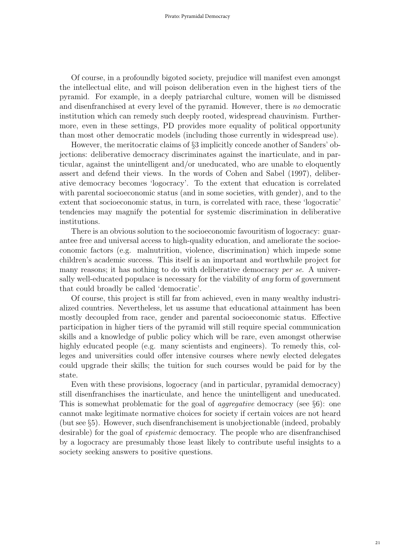Of course, in a profoundly bigoted society, prejudice will manifest even amongst the intellectual elite, and will poison deliberation even in the highest tiers of the pyramid. For example, in a deeply patriarchal culture, women will be dismissed and disenfranchised at every level of the pyramid. However, there is no democratic institution which can remedy such deeply rooted, widespread chauvinism. Furthermore, even in these settings, PD provides more equality of political opportunity than most other democratic models (including those currently in widespread use).

However, the meritocratic claims of §3 implicitly concede another of Sanders' objections: deliberative democracy discriminates against the inarticulate, and in particular, against the unintelligent and/or uneducated, who are unable to eloquently assert and defend their views. In the words of Cohen and Sabel (1997), deliberative democracy becomes 'logocracy'. To the extent that education is correlated with parental socioeconomic status (and in some societies, with gender), and to the extent that socioeconomic status, in turn, is correlated with race, these 'logocratic' tendencies may magnify the potential for systemic discrimination in deliberative institutions.

There is an obvious solution to the socioeconomic favouritism of logocracy: guarantee free and universal access to high-quality education, and ameliorate the socioeconomic factors (e.g. malnutrition, violence, discrimination) which impede some children's academic success. This itself is an important and worthwhile project for many reasons; it has nothing to do with deliberative democracy per se. A universally well-educated populace is necessary for the viability of any form of government that could broadly be called 'democratic'.

Of course, this project is still far from achieved, even in many wealthy industrialized countries. Nevertheless, let us assume that educational attainment has been mostly decoupled from race, gender and parental socioeconomic status. Effective participation in higher tiers of the pyramid will still require special communication skills and a knowledge of public policy which will be rare, even amongst otherwise highly educated people (e.g. many scientists and engineers). To remedy this, colleges and universities could offer intensive courses where newly elected delegates could upgrade their skills; the tuition for such courses would be paid for by the state.

Even with these provisions, logocracy (and in particular, pyramidal democracy) still disenfranchises the inarticulate, and hence the unintelligent and uneducated. This is somewhat problematic for the goal of *aggregative* democracy (see §6): one cannot make legitimate normative choices for society if certain voices are not heard (but see §5). However, such disenfranchisement is unobjectionable (indeed, probably desirable) for the goal of epistemic democracy. The people who are disenfranchised by a logocracy are presumably those least likely to contribute useful insights to a society seeking answers to positive questions.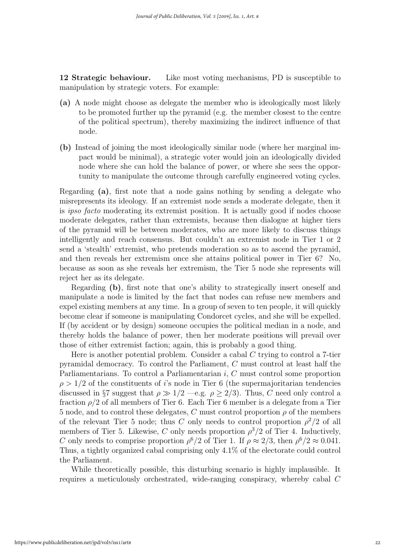12 Strategic behaviour. Like most voting mechanisms, PD is susceptible to manipulation by strategic voters. For example:

- (a) A node might choose as delegate the member who is ideologically most likely to be promoted further up the pyramid (e.g. the member closest to the centre of the political spectrum), thereby maximizing the indirect influence of that node.
- (b) Instead of joining the most ideologically similar node (where her marginal impact would be minimal), a strategic voter would join an ideologically divided node where she can hold the balance of power, or where she sees the opportunity to manipulate the outcome through carefully engineered voting cycles.

Regarding (a), first note that a node gains nothing by sending a delegate who misrepresents its ideology. If an extremist node sends a moderate delegate, then it is ipso facto moderating its extremist position. It is actually good if nodes choose moderate delegates, rather than extremists, because then dialogue at higher tiers of the pyramid will be between moderates, who are more likely to discuss things intelligently and reach consensus. But couldn't an extremist node in Tier 1 or 2 send a 'stealth' extremist, who pretends moderation so as to ascend the pyramid, and then reveals her extremism once she attains political power in Tier 6? No, because as soon as she reveals her extremism, the Tier 5 node she represents will reject her as its delegate.

Regarding (b), first note that one's ability to strategically insert oneself and manipulate a node is limited by the fact that nodes can refuse new members and expel existing members at any time. In a group of seven to ten people, it will quickly become clear if someone is manipulating Condorcet cycles, and she will be expelled. If (by accident or by design) someone occupies the political median in a node, and thereby holds the balance of power, then her moderate positions will prevail over those of either extremist faction; again, this is probably a good thing.

Here is another potential problem. Consider a cabal  $C$  trying to control a 7-tier pyramidal democracy. To control the Parliament, C must control at least half the Parliamentarians. To control a Parliamentarian i, C must control some proportion  $\rho > 1/2$  of the constituents of *i*'s node in Tier 6 (the supermajoritarian tendencies discussed in §7 suggest that  $\rho \gg 1/2$  —e.g.  $\rho \geq 2/3$ ). Thus, C need only control a fraction  $\rho/2$  of all members of Tier 6. Each Tier 6 member is a delegate from a Tier 5 node, and to control these delegates, C must control proportion  $\rho$  of the members of the relevant Tier 5 node; thus C only needs to control proportion  $\rho^2/2$  of all members of Tier 5. Likewise, C only needs proportion  $\rho^3/2$  of Tier 4. Inductively, C only needs to comprise proportion  $\rho^6/2$  of Tier 1. If  $\rho \approx 2/3$ , then  $\rho^6/2 \approx 0.041$ . Thus, a tightly organized cabal comprising only 4.1% of the electorate could control the Parliament.

While theoretically possible, this disturbing scenario is highly implausible. It requires a meticulously orchestrated, wide-ranging conspiracy, whereby cabal C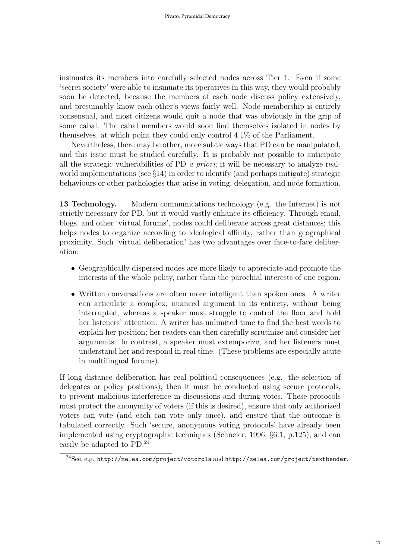insinuates its members into carefully selected nodes across Tier 1. Even if some 'secret society' were able to insinuate its operatives in this way, they would probably soon be detected, because the members of each node discuss policy extensively, and presumably know each other's views fairly well. Node membership is entirely consensual, and most citizens would quit a node that was obviously in the grip of some cabal. The cabal members would soon find themselves isolated in nodes by themselves, at which point they could only control 4.1% of the Parliament.

Nevertheless, there may be other, more subtle ways that PD can be manipulated, and this issue must be studied carefully. It is probably not possible to anticipate all the strategic vulnerabilities of PD a priori; it will be necessary to analyze realworld implementations (see §14) in order to identify (and perhaps mitigate) strategic behaviours or other pathologies that arise in voting, delegation, and node formation.

13 Technology. Modern communications technology (e.g. the Internet) is not strictly necessary for PD, but it would vastly enhance its efficiency. Through email, blogs, and other 'virtual forums', nodes could deliberate across great distances; this helps nodes to organize according to ideological affinity, rather than geographical proximity. Such 'virtual deliberation' has two advantages over face-to-face deliberation:

- Geographically dispersed nodes are more likely to appreciate and promote the interests of the whole polity, rather than the parochial interests of one region.
- Written conversations are often more intelligent than spoken ones. A writer can articulate a complex, nuanced argument in its entirety, without being interrupted, whereas a speaker must struggle to control the floor and hold her listeners' attention. A writer has unlimited time to find the best words to explain her position; her readers can then carefully scrutinize and consider her arguments. In contrast, a speaker must extemporize, and her listeners must understand her and respond in real time. (These problems are especially acute in multilingual forums).

If long-distance deliberation has real political consequences (e.g. the selection of delegates or policy positions), then it must be conducted using secure protocols, to prevent malicious interference in discussions and during votes. These protocols must protect the anonymity of voters (if this is desired), ensure that only authorized voters can vote (and each can vote only once), and ensure that the outcome is tabulated correctly. Such 'secure, anonymous voting protocols' have already been implemented using cryptographic techniques (Schneier, 1996, §6.1, p.125), and can easily be adapted to PD.<sup>24</sup>

 $^{24}\rm{See},$  e.g. http://zelea.com/project/votorola and http://zelea.com/project/textbender.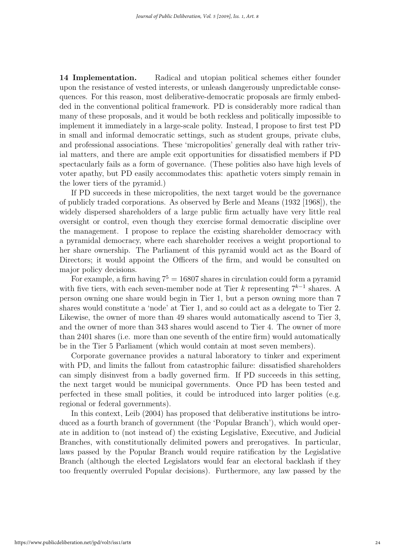14 Implementation. Radical and utopian political schemes either founder upon the resistance of vested interests, or unleash dangerously unpredictable consequences. For this reason, most deliberative-democratic proposals are firmly embedded in the conventional political framework. PD is considerably more radical than many of these proposals, and it would be both reckless and politically impossible to implement it immediately in a large-scale polity. Instead, I propose to first test PD in small and informal democratic settings, such as student groups, private clubs, and professional associations. These 'micropolities' generally deal with rather trivial matters, and there are ample exit opportunities for dissatisfied members if PD spectacularly fails as a form of governance. (These polities also have high levels of voter apathy, but PD easily accommodates this: apathetic voters simply remain in the lower tiers of the pyramid.)

If PD succeeds in these micropolities, the next target would be the governance of publicly traded corporations. As observed by Berle and Means (1932 [1968]), the widely dispersed shareholders of a large public firm actually have very little real oversight or control, even though they exercise formal democratic discipline over the management. I propose to replace the existing shareholder democracy with a pyramidal democracy, where each shareholder receives a weight proportional to her share ownership. The Parliament of this pyramid would act as the Board of Directors; it would appoint the Officers of the firm, and would be consulted on major policy decisions.

For example, a firm having  $7^5 = 16807$  shares in circulation could form a pyramid with five tiers, with each seven-member node at Tier k representing  $7^{k-1}$  shares. A person owning one share would begin in Tier 1, but a person owning more than 7 shares would constitute a 'node' at Tier 1, and so could act as a delegate to Tier 2. Likewise, the owner of more than 49 shares would automatically ascend to Tier 3, and the owner of more than 343 shares would ascend to Tier 4. The owner of more than 2401 shares (i.e. more than one seventh of the entire firm) would automatically be in the Tier 5 Parliament (which would contain at most seven members).

Corporate governance provides a natural laboratory to tinker and experiment with PD, and limits the fallout from catastrophic failure: dissatisfied shareholders can simply disinvest from a badly governed firm. If PD succeeds in this setting, the next target would be municipal governments. Once PD has been tested and perfected in these small polities, it could be introduced into larger polities (e.g. regional or federal governments).

In this context, Leib (2004) has proposed that deliberative institutions be introduced as a fourth branch of government (the 'Popular Branch'), which would operate in addition to (not instead of) the existing Legislative, Executive, and Judicial Branches, with constitutionally delimited powers and prerogatives. In particular, laws passed by the Popular Branch would require ratification by the Legislative Branch (although the elected Legislators would fear an electoral backlash if they too frequently overruled Popular decisions). Furthermore, any law passed by the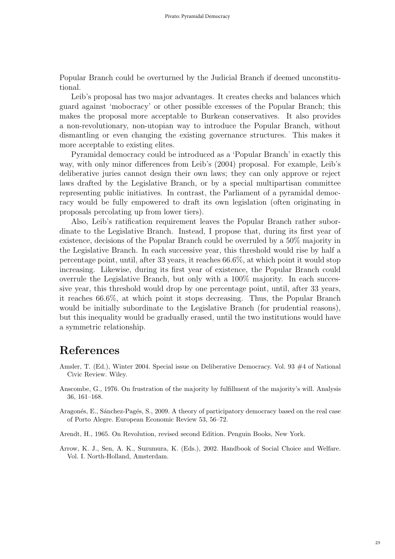Popular Branch could be overturned by the Judicial Branch if deemed unconstitutional.

Leib's proposal has two major advantages. It creates checks and balances which guard against 'mobocracy' or other possible excesses of the Popular Branch; this makes the proposal more acceptable to Burkean conservatives. It also provides a non-revolutionary, non-utopian way to introduce the Popular Branch, without dismantling or even changing the existing governance structures. This makes it more acceptable to existing elites.

Pyramidal democracy could be introduced as a 'Popular Branch' in exactly this way, with only minor differences from Leib's (2004) proposal. For example, Leib's deliberative juries cannot design their own laws; they can only approve or reject laws drafted by the Legislative Branch, or by a special multipartisan committee representing public initiatives. In contrast, the Parliament of a pyramidal democracy would be fully empowered to draft its own legislation (often originating in proposals percolating up from lower tiers).

Also, Leib's ratification requirement leaves the Popular Branch rather subordinate to the Legislative Branch. Instead, I propose that, during its first year of existence, decisions of the Popular Branch could be overruled by a 50% majority in the Legislative Branch. In each successive year, this threshold would rise by half a percentage point, until, after 33 years, it reaches 66.6%, at which point it would stop increasing. Likewise, during its first year of existence, the Popular Branch could overrule the Legislative Branch, but only with a 100% majority. In each successive year, this threshold would drop by one percentage point, until, after 33 years, it reaches 66.6%, at which point it stops decreasing. Thus, the Popular Branch would be initially subordinate to the Legislative Branch (for prudential reasons), but this inequality would be gradually erased, until the two institutions would have a symmetric relationship.

### References

- Amsler, T. (Ed.), Winter 2004. Special issue on Deliberative Democracy. Vol. 93  $\#4$  of National Civic Review. Wiley.
- Anscombe, G., 1976. On frustration of the majority by fulfillment of the majority's will. Analysis 36, 161–168.
- Aragonés, E., Sánchez-Pagés, S., 2009. A theory of participatory democracy based on the real case of Porto Alegre. European Economic Review 53, 56–72.
- Arendt, H., 1965. On Revolution, revised second Edition. Penguin Books, New York.
- Arrow, K. J., Sen, A. K., Suzumura, K. (Eds.), 2002. Handbook of Social Choice and Welfare. Vol. I. North-Holland, Amsterdam.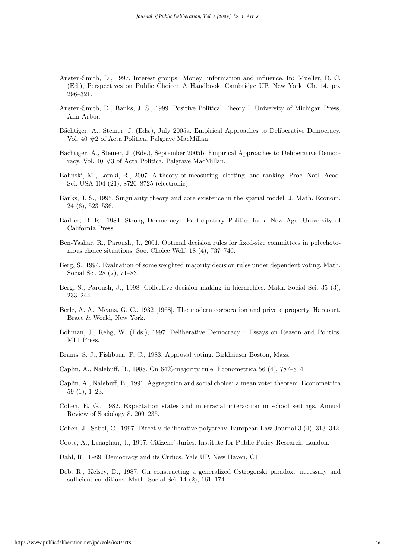- Austen-Smith, D., 1997. Interest groups: Money, information and influence. In: Mueller, D. C. (Ed.), Perspectives on Public Choice: A Handbook. Cambridge UP, New York, Ch. 14, pp. 296–321.
- Austen-Smith, D., Banks, J. S., 1999. Positive Political Theory I. University of Michigan Press, Ann Arbor.
- Bächtiger, A., Steiner, J. (Eds.), July 2005a. Empirical Approaches to Deliberative Democracy. Vol. 40 #2 of Acta Politica. Palgrave MacMillan.
- Bächtiger, A., Steiner, J. (Eds.), September 2005b. Empirical Approaches to Deliberative Democracy. Vol. 40 #3 of Acta Politica. Palgrave MacMillan.
- Balinski, M., Laraki, R., 2007. A theory of measuring, electing, and ranking. Proc. Natl. Acad. Sci. USA 104 (21), 8720–8725 (electronic).
- Banks, J. S., 1995. Singularity theory and core existence in the spatial model. J. Math. Econom. 24 (6), 523–536.
- Barber, B. R., 1984. Strong Democracy: Participatory Politics for a New Age. University of California Press.
- Ben-Yashar, R., Paroush, J., 2001. Optimal decision rules for fixed-size committees in polychotomous choice situations. Soc. Choice Welf. 18 (4), 737–746.
- Berg, S., 1994. Evaluation of some weighted majority decision rules under dependent voting. Math. Social Sci. 28 (2), 71–83.
- Berg, S., Paroush, J., 1998. Collective decision making in hierarchies. Math. Social Sci. 35 (3), 233–244.
- Berle, A. A., Means, G. C., 1932 [1968]. The modern corporation and private property. Harcourt, Brace & World, New York.
- Bohman, J., Rehg, W. (Eds.), 1997. Deliberative Democracy : Essays on Reason and Politics. MIT Press.
- Brams, S. J., Fishburn, P. C., 1983. Approval voting. Birkhäuser Boston, Mass.
- Caplin, A., Nalebuff, B., 1988. On 64%-majority rule. Econometrica 56 (4), 787–814.
- Caplin, A., Nalebuff, B., 1991. Aggregation and social choice: a mean voter theorem. Econometrica 59 (1), 1–23.
- Cohen, E. G., 1982. Expectation states and interracial interaction in school settings. Annual Review of Sociology 8, 209–235.
- Cohen, J., Sabel, C., 1997. Directly-deliberative polyarchy. European Law Journal 3 (4), 313–342.
- Coote, A., Lenaghan, J., 1997. Citizens' Juries. Institute for Public Policy Research, London.
- Dahl, R., 1989. Democracy and its Critics. Yale UP, New Haven, CT.
- Deb, R., Kelsey, D., 1987. On constructing a generalized Ostrogorski paradox: necessary and sufficient conditions. Math. Social Sci. 14 (2), 161–174.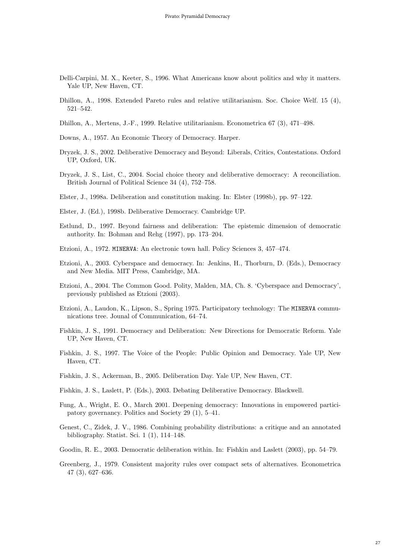- Delli-Carpini, M. X., Keeter, S., 1996. What Americans know about politics and why it matters. Yale UP, New Haven, CT.
- Dhillon, A., 1998. Extended Pareto rules and relative utilitarianism. Soc. Choice Welf. 15 (4), 521–542.
- Dhillon, A., Mertens, J.-F., 1999. Relative utilitarianism. Econometrica 67 (3), 471–498.
- Downs, A., 1957. An Economic Theory of Democracy. Harper.
- Dryzek, J. S., 2002. Deliberative Democracy and Beyond: Liberals, Critics, Contestations. Oxford UP, Oxford, UK.
- Dryzek, J. S., List, C., 2004. Social choice theory and deliberative democracy: A reconciliation. British Journal of Political Science 34 (4), 752–758.
- Elster, J., 1998a. Deliberation and constitution making. In: Elster (1998b), pp. 97–122.
- Elster, J. (Ed.), 1998b. Deliberative Democracy. Cambridge UP.
- Estlund, D., 1997. Beyond fairness and deliberation: The epistemic dimension of democratic authority. In: Bohman and Rehg (1997), pp. 173–204.
- Etzioni, A., 1972. MINERVA: An electronic town hall. Policy Sciences 3, 457–474.
- Etzioni, A., 2003. Cyberspace and democracy. In: Jenkins, H., Thorburn, D. (Eds.), Democracy and New Media. MIT Press, Cambridge, MA.
- Etzioni, A., 2004. The Common Good. Polity, Malden, MA, Ch. 8. 'Cyberspace and Democracy', previously published as Etzioni (2003).
- Etzioni, A., Laudon, K., Lipson, S., Spring 1975. Participatory technology: The MINERVA communications tree. Jounal of Communication, 64–74.
- Fishkin, J. S., 1991. Democracy and Deliberation: New Directions for Democratic Reform. Yale UP, New Haven, CT.
- Fishkin, J. S., 1997. The Voice of the People: Public Opinion and Democracy. Yale UP, New Haven, CT.
- Fishkin, J. S., Ackerman, B., 2005. Deliberation Day. Yale UP, New Haven, CT.
- Fishkin, J. S., Laslett, P. (Eds.), 2003. Debating Deliberative Democracy. Blackwell.
- Fung, A., Wright, E. O., March 2001. Deepening democracy: Innovations in empowered participatory governancy. Politics and Society 29 (1), 5–41.
- Genest, C., Zidek, J. V., 1986. Combining probability distributions: a critique and an annotated bibliography. Statist. Sci. 1 (1), 114–148.
- Goodin, R. E., 2003. Democratic deliberation within. In: Fishkin and Laslett (2003), pp. 54–79.
- Greenberg, J., 1979. Consistent majority rules over compact sets of alternatives. Econometrica 47 (3), 627–636.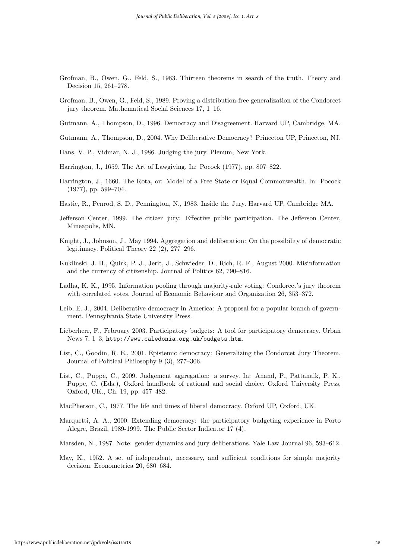- Grofman, B., Owen, G., Feld, S., 1983. Thirteen theorems in search of the truth. Theory and Decision 15, 261–278.
- Grofman, B., Owen, G., Feld, S., 1989. Proving a distribution-free generalization of the Condorcet jury theorem. Mathematical Social Sciences 17, 1–16.
- Gutmann, A., Thompson, D., 1996. Democracy and Disagreement. Harvard UP, Cambridge, MA.
- Gutmann, A., Thompson, D., 2004. Why Deliberative Democracy? Princeton UP, Princeton, NJ.
- Hans, V. P., Vidmar, N. J., 1986. Judging the jury. Plenum, New York.
- Harrington, J., 1659. The Art of Lawgiving. In: Pocock (1977), pp. 807–822.
- Harrington, J., 1660. The Rota, or: Model of a Free State or Equal Commonwealth. In: Pocock (1977), pp. 599–704.
- Hastie, R., Penrod, S. D., Pennington, N., 1983. Inside the Jury. Harvard UP, Cambridge MA.
- Jefferson Center, 1999. The citizen jury: Effective public participation. The Jefferson Center, Mineapolis, MN.
- Knight, J., Johnson, J., May 1994. Aggregation and deliberation: On the possibility of democratic legitimacy. Political Theory 22 (2), 277–296.
- Kuklinski, J. H., Quirk, P. J., Jerit, J., Schwieder, D., Rich, R. F., August 2000. Misinformation and the currency of citizenship. Journal of Politics 62, 790–816.
- Ladha, K. K., 1995. Information pooling through majority-rule voting: Condorcet's jury theorem with correlated votes. Journal of Economic Behaviour and Organization 26, 353–372.
- Leib, E. J., 2004. Deliberative democracy in America: A proposal for a popular branch of government. Pennsylvania State University Press.
- Lieberherr, F., February 2003. Participatory budgets: A tool for participatory democracy. Urban News 7, 1–3, http://www.caledonia.org.uk/budgets.htm.
- List, C., Goodin, R. E., 2001. Epistemic democracy: Generalizing the Condorcet Jury Theorem. Journal of Political Philosophy 9 (3), 277–306.
- List, C., Puppe, C., 2009. Judgement aggregation: a survey. In: Anand, P., Pattanaik, P. K., Puppe, C. (Eds.), Oxford handbook of rational and social choice. Oxford University Press, Oxford, UK., Ch. 19, pp. 457–482.
- MacPherson, C., 1977. The life and times of liberal democracy. Oxford UP, Oxford, UK.
- Marquetti, A. A., 2000. Extending democracy: the participatory budgeting experience in Porto Alegre, Brazil, 1989-1999. The Public Sector Indicator 17 (4).
- Marsden, N., 1987. Note: gender dynamics and jury deliberations. Yale Law Journal 96, 593–612.
- May, K., 1952. A set of independent, necessary, and sufficient conditions for simple majority decision. Econometrica 20, 680–684.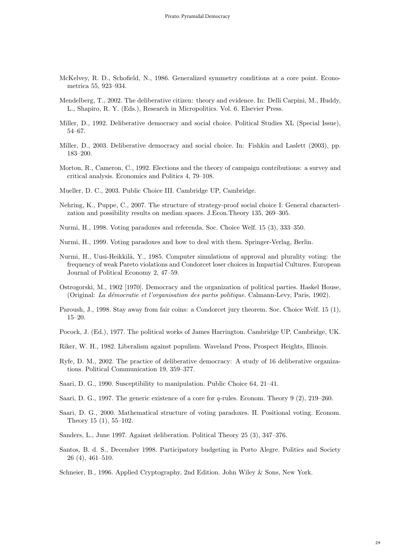- McKelvey, R. D., Schofield, N., 1986. Generalized symmetry conditions at a core point. Econometrica 55, 923–934.
- Mendelberg, T., 2002. The deliberative citizen: theory and evidence. In: Delli Carpini, M., Huddy, L., Shapiro, R. Y. (Eds.), Research in Micropolitics. Vol. 6. Elsevier Press.
- Miller, D., 1992. Deliberative democracy and social choice. Political Studies XL (Special Issue), 54–67.
- Miller, D., 2003. Deliberative democracy and social choice. In: Fishkin and Laslett (2003), pp. 183–200.
- Morton, R., Cameron, C., 1992. Elections and the theory of campaign contributions: a survey and critical analysis. Economics and Politics 4, 79–108.
- Mueller, D. C., 2003. Public Choice III. Cambridge UP, Cambridge.
- Nehring, K., Puppe, C., 2007. The structure of strategy-proof social choice I: General characterization and possibility results on median spaces. J.Econ.Theory 135, 269–305.
- Nurmi, H., 1998. Voting paradoxes and referenda. Soc. Choice Welf. 15 (3), 333–350.
- Nurmi, H., 1999. Voting paradoxes and how to deal with them. Springer-Verlag, Berlin.
- Nurmi, H., Uusi-Heikkilä, Y., 1985. Computer simulations of approval and plurality voting: the frequency of weak Pareto violations and Condorcet loser choices in Impartial Cultures. European Journal of Political Economy 2, 47–59.
- Ostrogorski, M., 1902 [1970]. Democracy and the organization of political parties. Haskel House, (Original: La d´emocratie et l'organisation des partis politique. Calmann-Levy, Paris, 1902).
- Paroush, J., 1998. Stay away from fair coins: a Condorcet jury theorem. Soc. Choice Welf. 15 (1), 15–20.
- Pocock, J. (Ed.), 1977. The political works of James Harrington. Cambridge UP, Cambridge, UK.
- Riker, W. H., 1982. Liberalism against populism. Waveland Press, Prospect Heights, Illinois.
- Ryfe, D. M., 2002. The practice of deliberative democracy: A study of 16 deliberative organizations. Political Communication 19, 359–377.
- Saari, D. G., 1990. Susceptibility to manipulation. Public Choice 64, 21–41.
- Saari, D. G., 1997. The generic existence of a core for  $q$ -rules. Econom. Theory 9 (2), 219–260.
- Saari, D. G., 2000. Mathematical structure of voting paradoxes. II. Positional voting. Econom. Theory 15 (1), 55–102.
- Sanders, L., June 1997. Against deliberation. Political Theory 25 (3), 347–376.
- Santos, B. d. S., December 1998. Participatory budgeting in Porto Alegre. Politics and Society 26 (4), 461–510.

Schneier, B., 1996. Applied Cryptography, 2nd Edition. John Wiley & Sons, New York.